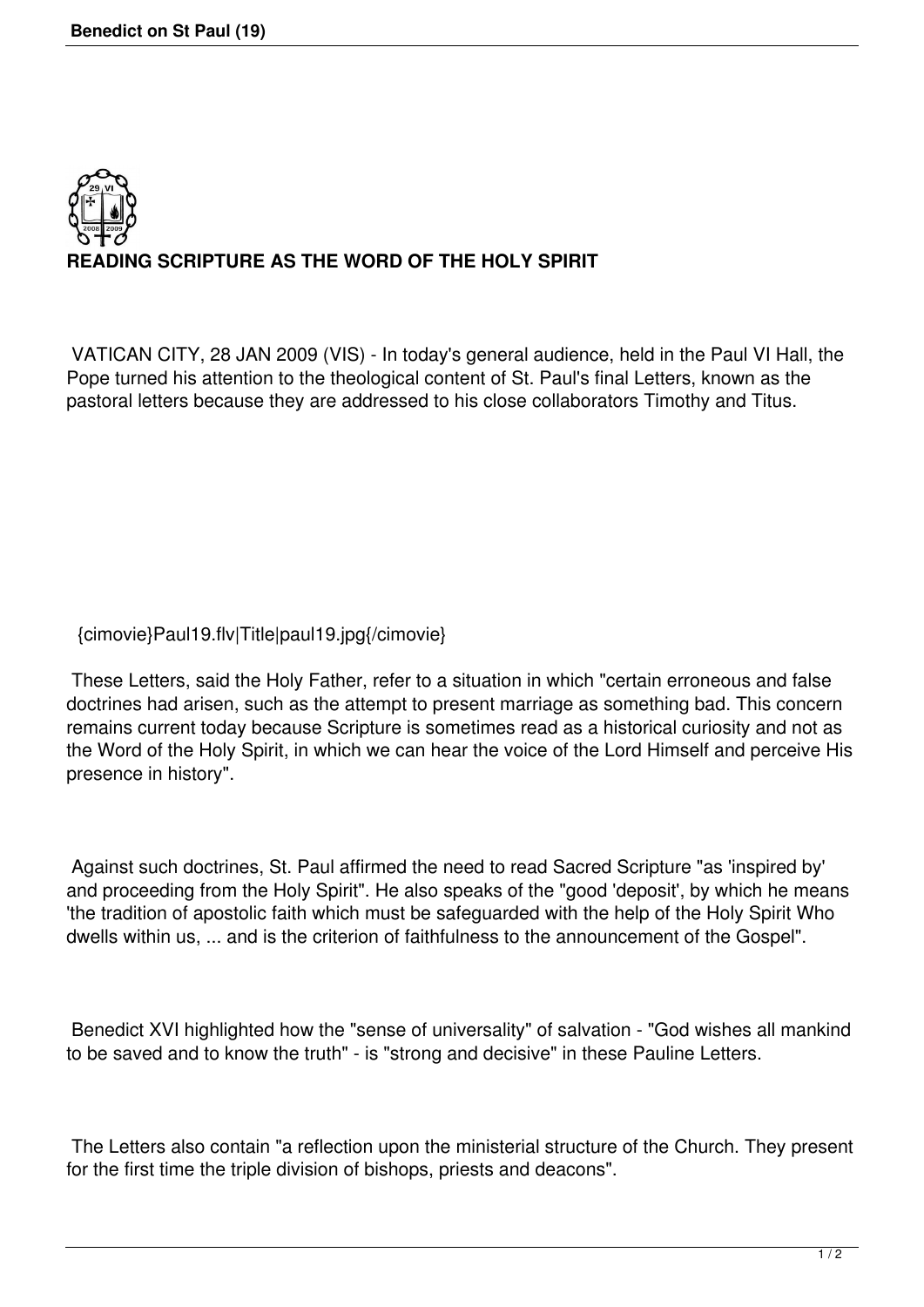

VATICAN CITY, 28 JAN 2009 (VIS) - In today's general audience, held in the Paul VI Hall, the Pope turned his attention to the theological content of St. Paul's final Letters, known as the pastoral letters because they are addressed to his close collaborators Timothy and Titus.

{cimovie}Paul19.flv|Title|paul19.jpg{/cimovie}

 These Letters, said the Holy Father, refer to a situation in which "certain erroneous and false doctrines had arisen, such as the attempt to present marriage as something bad. This concern remains current today because Scripture is sometimes read as a historical curiosity and not as the Word of the Holy Spirit, in which we can hear the voice of the Lord Himself and perceive His presence in history".

 Against such doctrines, St. Paul affirmed the need to read Sacred Scripture "as 'inspired by' and proceeding from the Holy Spirit". He also speaks of the "good 'deposit', by which he means 'the tradition of apostolic faith which must be safeguarded with the help of the Holy Spirit Who dwells within us, ... and is the criterion of faithfulness to the announcement of the Gospel".

 Benedict XVI highlighted how the "sense of universality" of salvation - "God wishes all mankind to be saved and to know the truth" - is "strong and decisive" in these Pauline Letters.

 The Letters also contain "a reflection upon the ministerial structure of the Church. They present for the first time the triple division of bishops, priests and deacons".